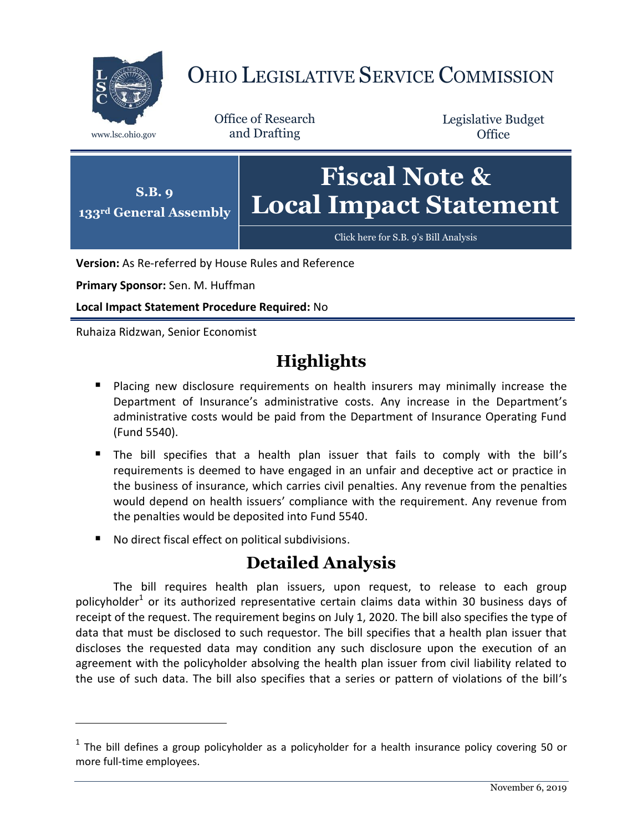

## OHIO LEGISLATIVE SERVICE COMMISSION

Office of Research www.lsc.ohio.gov and Drafting

Legislative Budget **Office** 



**Version:** As Re-referred by House Rules and Reference

**Primary Sponsor:** Sen. M. Huffman

**Local Impact Statement Procedure Required:** No

Ruhaiza Ridzwan, Senior Economist

 $\overline{a}$ 

## **Highlights**

- **Placing new disclosure requirements on health insurers may minimally increase the** Department of Insurance's administrative costs. Any increase in the Department's administrative costs would be paid from the Department of Insurance Operating Fund (Fund 5540).
- The bill specifies that a health plan issuer that fails to comply with the bill's requirements is deemed to have engaged in an unfair and deceptive act or practice in the business of insurance, which carries civil penalties. Any revenue from the penalties would depend on health issuers' compliance with the requirement. Any revenue from the penalties would be deposited into Fund 5540.
- No direct fiscal effect on political subdivisions.

## **Detailed Analysis**

The bill requires health plan issuers, upon request, to release to each group policyholder<sup>1</sup> or its authorized representative certain claims data within 30 business days of receipt of the request. The requirement begins on July 1, 2020. The bill also specifies the type of data that must be disclosed to such requestor. The bill specifies that a health plan issuer that discloses the requested data may condition any such disclosure upon the execution of an agreement with the policyholder absolving the health plan issuer from civil liability related to the use of such data. The bill also specifies that a series or pattern of violations of the bill's

 $<sup>1</sup>$  The bill defines a group policyholder as a policyholder for a health insurance policy covering 50 or</sup> more full-time employees.